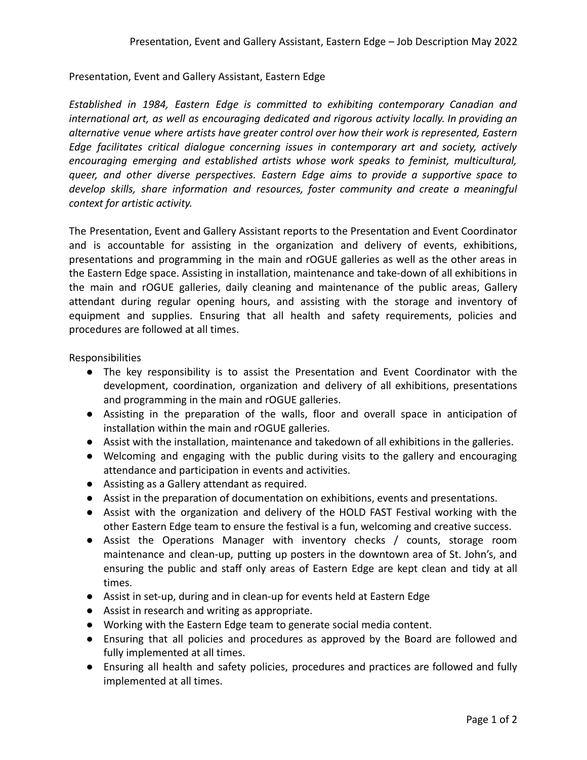Presentation, Event and Gallery Assistant, Eastern Edge

*Established in 1984, Eastern Edge is committed to exhibiting contemporary Canadian and international art, as well as encouraging dedicated and rigorous activity locally. In providing an alternative venue where artists have greater control over how their work is represented, Eastern Edge facilitates critical dialogue concerning issues in contemporary art and society, actively encouraging emerging and established artists whose work speaks to feminist, multicultural, queer, and other diverse perspectives. Eastern Edge aims to provide a supportive space to develop skills, share information and resources, foster community and create a meaningful context for artistic activity.*

The Presentation, Event and Gallery Assistant reports to the Presentation and Event Coordinator and is accountable for assisting in the organization and delivery of events, exhibitions, presentations and programming in the main and rOGUE galleries as well as the other areas in the Eastern Edge space. Assisting in installation, maintenance and take-down of all exhibitions in the main and rOGUE galleries, daily cleaning and maintenance of the public areas, Gallery attendant during regular opening hours, and assisting with the storage and inventory of equipment and supplies. Ensuring that all health and safety requirements, policies and procedures are followed at all times.

Responsibilities

- The key responsibility is to assist the Presentation and Event Coordinator with the development, coordination, organization and delivery of all exhibitions, presentations and programming in the main and rOGUE galleries.
- Assisting in the preparation of the walls, floor and overall space in anticipation of installation within the main and rOGUE galleries.
- Assist with the installation, maintenance and takedown of all exhibitions in the galleries.
- Welcoming and engaging with the public during visits to the gallery and encouraging attendance and participation in events and activities.
- Assisting as a Gallery attendant as required.
- Assist in the preparation of documentation on exhibitions, events and presentations.
- Assist with the organization and delivery of the HOLD FAST Festival working with the other Eastern Edge team to ensure the festival is a fun, welcoming and creative success.
- Assist the Operations Manager with inventory checks / counts, storage room maintenance and clean-up, putting up posters in the downtown area of St. John's, and ensuring the public and staff only areas of Eastern Edge are kept clean and tidy at all times.
- Assist in set-up, during and in clean-up for events held at Eastern Edge
- Assist in research and writing as appropriate.
- Working with the Eastern Edge team to generate social media content.
- Ensuring that all policies and procedures as approved by the Board are followed and fully implemented at all times.
- Ensuring all health and safety policies, procedures and practices are followed and fully implemented at all times.